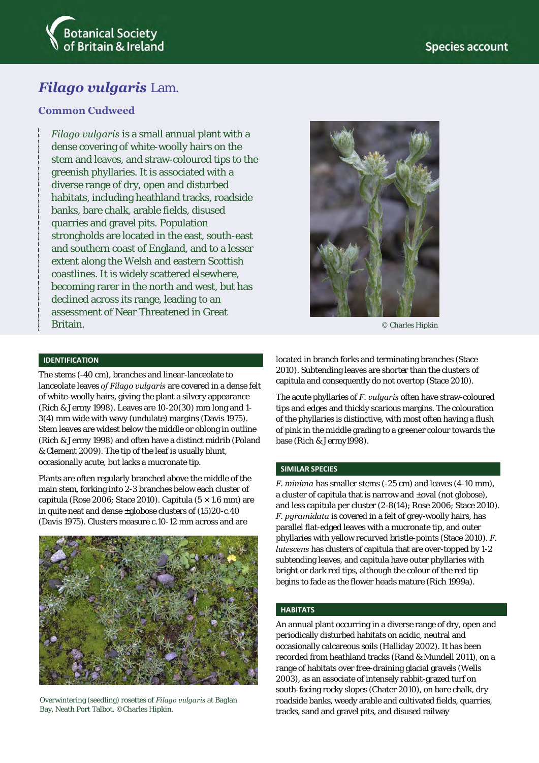



# *Filago vulgaris* Lam.

# **Common Cudweed**

*Filago vulgaris* is a small annual plant with a dense covering of white-woolly hairs on the stem and leaves, and straw-coloured tips to the greenish phyllaries. It is associated with a diverse range of dry, open and disturbed habitats, including heathland tracks, roadside banks, bare chalk, arable fields, disused quarries and gravel pits. Population strongholds are located in the east, south-east and southern coast of England, and to a lesser extent along the Welsh and eastern Scottish coastlines. It is widely scattered elsewhere, becoming rarer in the north and west, but has declined across its range, leading to an assessment of Near Threatened in Great Britain.



The stems (-40 cm), branches and linear-lanceolate to lanceolate leaves *of Filago vulgaris* are covered in a dense felt of white-woolly hairs, giving the plant a silvery appearance (Rich & Jermy 1998). Leaves are 10-20(30) mm long and 1- 3(4) mm wide with wavy (undulate) margins (Davis 1975). Stem leaves are widest below the middle or oblong in outline (Rich & Jermy 1998) and often have a distinct midrib (Poland & Clement 2009). The tip of the leaf is usually blunt, occasionally acute, but lacks a mucronate tip.

Plants are often regularly branched above the middle of the main stem, forking into 2-3 branches below each cluster of capitula (Rose 2006; Stace 2010). Capitula (5 × 1.6 mm) are in quite neat and dense  $\pm$ globose clusters of (15)20-c.40 (Davis 1975). Clusters measure c.10-12 mm across and are



Overwintering (seedling) rosettes of *Filago vulgaris* at Baglan Bay, Neath Port Talbot. ©Charles Hipkin.



© Charles Hipkin

located in branch forks and terminating branches (Stace 2010). Subtending leaves are shorter than the clusters of capitula and consequently do not overtop (Stace 2010).

The acute phyllaries of *F. vulgaris* often have straw-coloured tips and edges and thickly scarious margins. The colouration of the phyllaries is distinctive, with most often having a flush of pink in the middle grading to a greener colour towards the base (Rich & Jermy1998).

#### **SIMILAR SPECIES**

*F. minima* has smaller stems (-25 cm) and leaves (4-10 mm), a cluster of capitula that is narrow and ±oval (not globose), and less capitula per cluster (2-8(14); Rose 2006; Stace 2010). *F. puramidata* is covered in a felt of grey-woolly hairs, has parallel flat-edged leaves with a mucronate tip, and outer phyllaries with yellow recurved bristle-points (Stace 2010). *F. lutescens* has clusters of capitula that are over-topped by 1-2 subtending leaves, and capitula have outer phyllaries with bright or dark red tips, although the colour of the red tip begins to fade as the flower heads mature (Rich 1999a).

#### **HABITATS**

An annual plant occurring in a diverse range of dry, open and periodically disturbed habitats on acidic, neutral and occasionally calcareous soils (Halliday 2002). It has been recorded from heathland tracks (Rand & Mundell 2011), on a range of habitats over free-draining glacial gravels (Wells 2003), as an associate of intensely rabbit-grazed turf on south-facing rocky slopes (Chater 2010), on bare chalk, dry roadside banks, weedy arable and cultivated fields, quarries, tracks, sand and gravel pits, and disused railway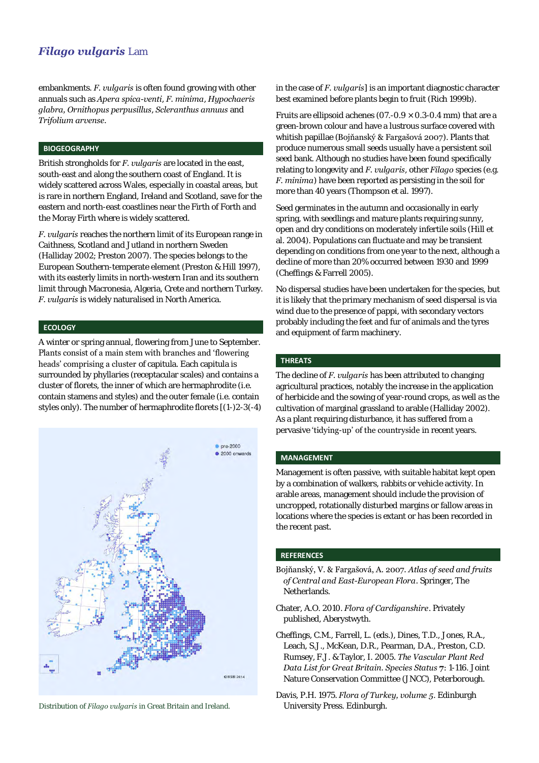# *Filago vulgaris* Lam

embankments. *F. vulgaris* is often found growing with other annuals such as *Apera spica-venti*, *F. minima*, *Hypochaeris glabra, Ornithopus perpusillus*, *Scleranthus annuus* and *Trifolium arvense.*

### **BIOGEOGRAPHY**

British strongholds for *F. vulgaris* are located in the east, south-east and along the southern coast of England. It is widely scattered across Wales, especially in coastal areas, but is rare in northern England, Ireland and Scotland, save for the eastern and north-east coastlines near the Firth of Forth and the Moray Firth where is widely scattered.

*F. vulgaris* reaches the northern limit of its European range in Caithness, Scotland and Jutland in northern Sweden (Halliday 2002; Preston 2007). The species belongs to the European Southern-temperate element (Preston & Hill 1997), with its easterly limits in north-western Iran and its southern limit through Macronesia, Algeria, Crete and northern Turkey. *F. vulgaris* is widely naturalised in North America.

#### **ECOLOGY**

A winter or spring annual, flowering from June to September. Plants consist of a main stem with branches and 'flowering heads' comprising a cluster of capitula. Each capitula is surrounded by phyllaries (receptacular scales) and contains a cluster of florets, the inner of which are hermaphrodite (i.e. contain stamens and styles) and the outer female (i.e. contain styles only). The number of hermaphrodite florets [(1-)2-3(-4)



Distribution of *Filago vulgaris* in Great Britain and Ireland. University Press. Edinburgh.

in the case of *F. vulgaris*] is an important diagnostic character best examined before plants begin to fruit (Rich 1999b).

Fruits are ellipsoid achenes ( $07.-0.9 \times 0.3-0.4$  mm) that are a green-brown colour and have a lustrous surface covered with whitish papillae (Bojňanský & Fargašová 2007). Plants that produce numerous small seeds usually have a persistent soil seed bank. Although no studies have been found specifically relating to longevity and *F. vulgaris*, other *Filago* species (e.g. *F. minima*) have been reported as persisting in the soil for more than 40 years (Thompson et al. 1997).

Seed germinates in the autumn and occasionally in early spring, with seedlings and mature plants requiring sunny, open and dry conditions on moderately infertile soils (Hill et al. 2004). Populations can fluctuate and may be transient depending on conditions from one year to the next, although a decline of more than 20% occurred between 1930 and 1999 (Cheffings & Farrell 2005).

No dispersal studies have been undertaken for the species, but it is likely that the primary mechanism of seed dispersal is via wind due to the presence of pappi, with secondary vectors probably including the feet and fur of animals and the tyres and equipment of farm machinery.

#### **THREATS**

The decline of *F. vulgaris* has been attributed to changing agricultural practices, notably the increase in the application of herbicide and the sowing of year-round crops, as well as the cultivation of marginal grassland to arable (Halliday 2002). As a plant requiring disturbance, it has suffered from a pervasive 'tidying-up' of the countryside in recent years.

#### **MANAGEMENT**

Management is often passive, with suitable habitat kept open by a combination of walkers, rabbits or vehicle activity. In arable areas, management should include the provision of uncropped, rotationally disturbed margins or fallow areas in locations where the species is extant or has been recorded in the recent past.

# **REFERENCES**

- Bojňanský, V. & Fargašová, A. 2007. *Atlas of seed and fruits of Central and East-European Flora*. Springer, The Netherlands.
- Chater, A.O. 2010. *Flora of Cardiganshire*. Privately published, Aberystwyth.
- Cheffings, C.M., Farrell, L. (eds.), Dines, T.D., Jones, R.A., Leach, S.J., McKean, D.R., Pearman, D.A., Preston, C.D. Rumsey, F.J. & Taylor, I. 2005. *The Vascular Plant Red Data List for Great Britain. Species Status* **7**: 1-116. Joint Nature Conservation Committee (JNCC), Peterborough.
- Davis, P.H. 1975. *Flora of Turkey, volume 5*. Edinburgh